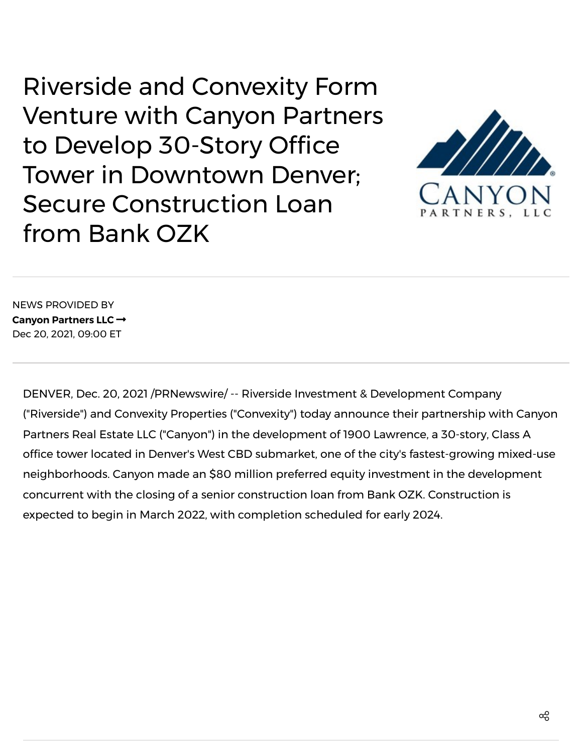Riverside and Convexity Form Venture with Canyon Partners to Develop 30-Story Office Tower in Downtown Denver; Secure Construction Loan from Bank OZK



NEWS PROVIDED BY **Canyon [Partners](https://www.prnewswire.com/news/canyon-partners-llc/) LLC** Dec 20, 2021, 09:00 ET

DENVER, Dec. 20, 2021 /PRNewswire/ -- Riverside Investment & Development Company ("Riverside") and Convexity Properties ("Convexity") today announce their partnership with Canyon Partners Real Estate LLC ("Canyon") in the development of 1900 Lawrence, a 30-story, Class A office tower located in Denver's West CBD submarket, one of the city's fastest-growing mixed-use neighborhoods. Canyon made an \$80 million preferred equity investment in the development concurrent with the closing of a senior construction loan from Bank OZK. Construction is expected to begin in March 2022, with completion scheduled for early 2024.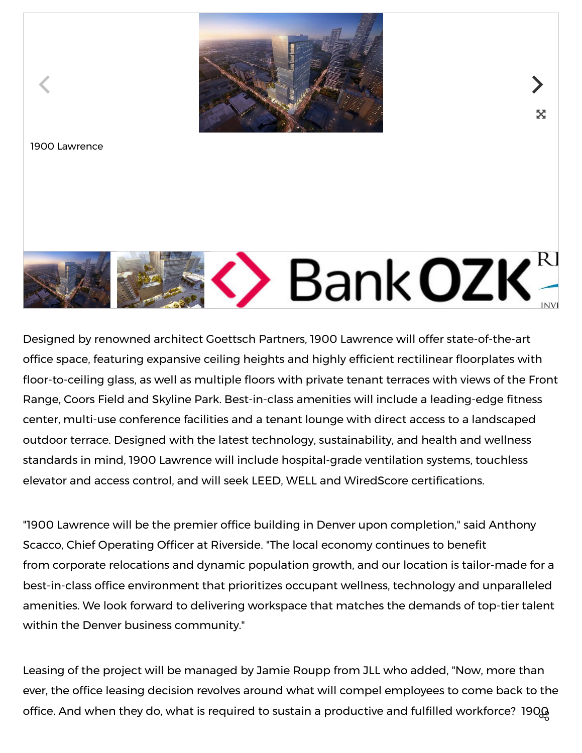

又



Designed by renowned architect Goettsch Partners, 1900 Lawrence will offer state-of-the-art office space, featuring expansive ceiling heights and highly efficient rectilinear floorplates with floor-to-ceiling glass, as well as multiple floors with private tenant terraces with views of the Front Range, Coors Field and Skyline Park. Best-in-class amenities will include a leading-edge fitness center, multi-use conference facilities and a tenant lounge with direct access to a landscaped outdoor terrace. Designed with the latest technology, sustainability, and health and wellness standards in mind, 1900 Lawrence will include hospital-grade ventilation systems, touchless elevator and access control, and will seek LEED, WELL and WiredScore certifications.

"1900 Lawrence will be the premier office building in Denver upon completion," said Anthony Scacco, Chief Operating Officer at Riverside. "The local economy continues to benefit from corporate relocations and dynamic population growth, and our location is tailor-made for a best-in-class office environment that prioritizes occupant wellness, technology and unparalleled amenities. We look forward to delivering workspace that matches the demands of top-tier talent within the Denver business community."

Leasing of the project will be managed by Jamie Roupp from JLL who added, "Now, more than ever, the office leasing decision revolves around what will compel employees to come back to the office. And when they do, what is required to sustain a productive and fulfilled workforce? 190 $\&$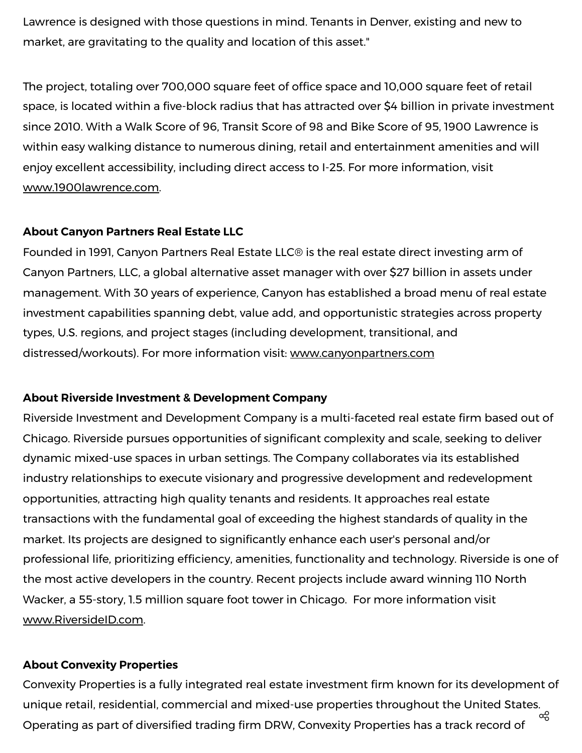Lawrence is designed with those questions in mind. Tenants in Denver, existing and new to market, are gravitating to the quality and location of this asset."

The project, totaling over 700,000 square feet of office space and 10,000 square feet of retail space, is located within a five-block radius that has attracted over \$4 billion in private investment since 2010. With a Walk Score of 96, Transit Score of 98 and Bike Score of 95, 1900 Lawrence is within easy walking distance to numerous dining, retail and entertainment amenities and will enjoy excellent accessibility, including direct access to I-25. For more information, visit [www.1900lawrence.com.](https://c212.net/c/link/?t=0&l=en&o=3394910-1&h=3180254368&u=http%3A%2F%2Fwww.1900lawrence.com%2F&a=www.1900lawrence.com)

### **About Canyon Partners Real Estate LLC**

Founded in 1991, Canyon Partners Real Estate LLC® is the real estate direct investing arm of Canyon Partners, LLC, a global alternative asset manager with over \$27 billion in assets under management. With 30 years of experience, Canyon has established a broad menu of real estate investment capabilities spanning debt, value add, and opportunistic strategies across property types, U.S. regions, and project stages (including development, transitional, and distressed/workouts). For more information visit: [www.canyonpartners.com](https://c212.net/c/link/?t=0&l=en&o=3394910-1&h=936517026&u=https%3A%2F%2Fprotect-us.mimecast.com%2Fs%2F5_roCrkvwksrgq86izTfM_&a=www.canyonpartners.com)

### **About Riverside Investment & Development Company**

Riverside Investment and Development Company is a multi-faceted real estate firm based out of Chicago. Riverside pursues opportunities of significant complexity and scale, seeking to deliver dynamic mixed-use spaces in urban settings. The Company collaborates via its established industry relationships to execute visionary and progressive development and redevelopment opportunities, attracting high quality tenants and residents. It approaches real estate transactions with the fundamental goal of exceeding the highest standards of quality in the market. Its projects are designed to significantly enhance each user's personal and/or professional life, prioritizing efficiency, amenities, functionality and technology. Riverside is one of the most active developers in the country. Recent projects include award winning 110 North Wacker, a 55-story, 1.5 million square foot tower in Chicago. For more information visit [www.RiversideID.com.](https://c212.net/c/link/?t=0&l=en&o=3394910-1&h=196209672&u=http%3A%2F%2Fwww.riversideid.com%2F&a=www.RiversideID.com)

### **About Convexity Properties**

Convexity Properties is a fully integrated real estate investment firm known for its development of unique retail, residential, commercial and mixed-use properties throughout the United States. Operating as part of diversified trading firm DRW, Convexity Properties has a track record of  $\alpha_0^0$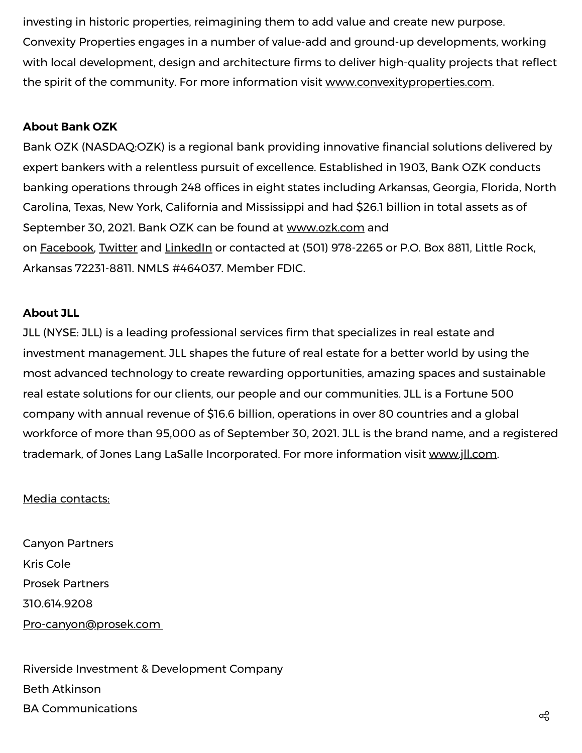investing in historic properties, reimagining them to add value and create new purpose. Convexity Properties engages in a number of value-add and ground-up developments, working with local development, design and architecture firms to deliver high-quality projects that reflect the spirit of the community. For more information visit [www.convexityproperties.com](https://c212.net/c/link/?t=0&l=en&o=3394910-1&h=3873659735&u=http%3A%2F%2Fwww.convexityproperties.com%2F&a=www.convexityproperties.com).

## **About Bank OZK**

Bank OZK (NASDAQ:OZK) is a regional bank providing innovative financial solutions delivered by expert bankers with a relentless pursuit of excellence. Established in 1903, Bank OZK conducts banking operations through 248 offices in eight states including Arkansas, Georgia, Florida, North Carolina, Texas, New York, California and Mississippi and had \$26.1 billion in total assets as of September 30, 2021. Bank OZK can be found at [www.ozk.com](https://c212.net/c/link/?t=0&l=en&o=3394910-1&h=1189276076&u=https%3A%2F%2Fwww.ozk.com%2Fpersonal%2F&a=www.ozk.com) and on [Facebook](https://c212.net/c/link/?t=0&l=en&o=3394910-1&h=383983745&u=https%3A%2F%2Fwww.facebook.com%2Fbankozk%2F&a=Facebook), [Twitter](https://c212.net/c/link/?t=0&l=en&o=3394910-1&h=551824345&u=https%3A%2F%2Ftwitter.com%2FBankOZK%3Flang%3Den&a=Twitter) and [LinkedIn](https://c212.net/c/link/?t=0&l=en&o=3394910-1&h=228309264&u=https%3A%2F%2Fwww.linkedin.com%2Fcompany%2Fbank-ozk%2F&a=LinkedIn) or contacted at (501) 978-2265 or P.O. Box 8811, Little Rock, Arkansas 72231-8811. NMLS #464037. Member FDIC.

## **About JLL**

JLL (NYSE: JLL) is a leading professional services firm that specializes in real estate and investment management. JLL shapes the future of real estate for a better world by using the most advanced technology to create rewarding opportunities, amazing spaces and sustainable real estate solutions for our clients, our people and our communities. JLL is a Fortune 500 company with annual revenue of \$16.6 billion, operations in over 80 countries and a global workforce of more than 95,000 as of September 30, 2021. JLL is the brand name, and a registered trademark, of Jones Lang LaSalle Incorporated. For more information visit [www.jll.com.](https://c212.net/c/link/?t=0&l=en&o=3394910-1&h=338980728&u=http%3A%2F%2Fwww.jll.com%2F&a=www.jll.com)

## Media contacts:

Canyon Partners Kris Cole Prosek Partners 310.614.9208 [Pro-canyon@prosek.com](mailto:Pro-canyon@prosek.com)

Riverside Investment & Development Company Beth Atkinson  $\mathsf B$ A Communications  $\mathsf c \mathsf c$